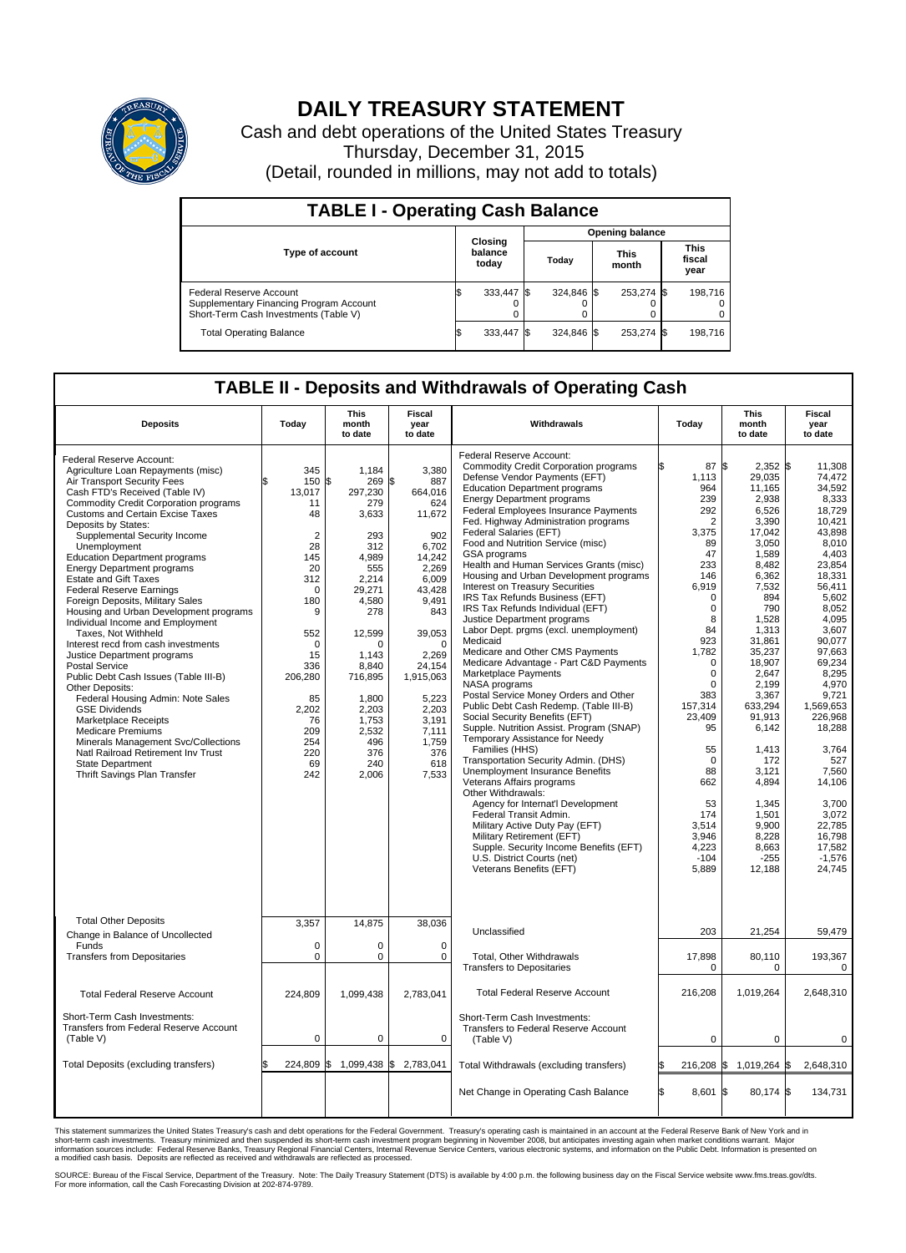

## **DAILY TREASURY STATEMENT**

Cash and debt operations of the United States Treasury Thursday, December 31, 2015 (Detail, rounded in millions, may not add to totals)

| <b>TABLE I - Operating Cash Balance</b>                                                                     |                             |            |       |                        |                      |            |                               |         |  |  |  |
|-------------------------------------------------------------------------------------------------------------|-----------------------------|------------|-------|------------------------|----------------------|------------|-------------------------------|---------|--|--|--|
|                                                                                                             | Closing<br>balance<br>today |            |       | <b>Opening balance</b> |                      |            |                               |         |  |  |  |
| <b>Type of account</b>                                                                                      |                             |            | Today |                        | <b>This</b><br>month |            | <b>This</b><br>fiscal<br>year |         |  |  |  |
| Federal Reserve Account<br>Supplementary Financing Program Account<br>Short-Term Cash Investments (Table V) |                             | 333,447 \$ |       | 324.846 \$             |                      | 253,274 \$ |                               | 198.716 |  |  |  |
| <b>Total Operating Balance</b>                                                                              | IЭ                          | 333,447 \$ |       | 324.846 \$             |                      | 253,274 \$ |                               | 198,716 |  |  |  |

## **TABLE II - Deposits and Withdrawals of Operating Cash**

| <b>Deposits</b>                                                                                                                                                                                                                                                                                                                                                                                                                                                                                                                                                                                                                                                                                                                                                                                                                                                                                                                                                                                                       | Today                                                                                                                                                                                              | <b>This</b><br>month<br>to date                                                                                                                                                                                              | <b>Fiscal</b><br>year<br>to date                                                                                                                                                                                                               | Withdrawals                                                                                                                                                                                                                                                                                                                                                                                                                                                                                                                                                                                                                                                                                                                                                                                                                                                                                                                                                                                                                                                                                                                                                                                                               | Today                                                                                                                                                                                                                                                                                                | <b>This</b><br>month<br>to date                                                                                                                                                                                                                                                                      | <b>Fiscal</b><br>year<br>to date                                                                                                                                                                                                                                                                                          |  |  |
|-----------------------------------------------------------------------------------------------------------------------------------------------------------------------------------------------------------------------------------------------------------------------------------------------------------------------------------------------------------------------------------------------------------------------------------------------------------------------------------------------------------------------------------------------------------------------------------------------------------------------------------------------------------------------------------------------------------------------------------------------------------------------------------------------------------------------------------------------------------------------------------------------------------------------------------------------------------------------------------------------------------------------|----------------------------------------------------------------------------------------------------------------------------------------------------------------------------------------------------|------------------------------------------------------------------------------------------------------------------------------------------------------------------------------------------------------------------------------|------------------------------------------------------------------------------------------------------------------------------------------------------------------------------------------------------------------------------------------------|---------------------------------------------------------------------------------------------------------------------------------------------------------------------------------------------------------------------------------------------------------------------------------------------------------------------------------------------------------------------------------------------------------------------------------------------------------------------------------------------------------------------------------------------------------------------------------------------------------------------------------------------------------------------------------------------------------------------------------------------------------------------------------------------------------------------------------------------------------------------------------------------------------------------------------------------------------------------------------------------------------------------------------------------------------------------------------------------------------------------------------------------------------------------------------------------------------------------------|------------------------------------------------------------------------------------------------------------------------------------------------------------------------------------------------------------------------------------------------------------------------------------------------------|------------------------------------------------------------------------------------------------------------------------------------------------------------------------------------------------------------------------------------------------------------------------------------------------------|---------------------------------------------------------------------------------------------------------------------------------------------------------------------------------------------------------------------------------------------------------------------------------------------------------------------------|--|--|
| Federal Reserve Account:<br>Agriculture Loan Repayments (misc)<br>Air Transport Security Fees<br>Cash FTD's Received (Table IV)<br><b>Commodity Credit Corporation programs</b><br><b>Customs and Certain Excise Taxes</b><br>Deposits by States:<br>Supplemental Security Income<br>Unemployment<br><b>Education Department programs</b><br><b>Energy Department programs</b><br><b>Estate and Gift Taxes</b><br><b>Federal Reserve Earnings</b><br>Foreign Deposits, Military Sales<br>Housing and Urban Development programs<br>Individual Income and Employment<br>Taxes. Not Withheld<br>Interest recd from cash investments<br>Justice Department programs<br><b>Postal Service</b><br>Public Debt Cash Issues (Table III-B)<br>Other Deposits:<br>Federal Housing Admin: Note Sales<br><b>GSE Dividends</b><br><b>Marketplace Receipts</b><br><b>Medicare Premiums</b><br>Minerals Management Svc/Collections<br>Natl Railroad Retirement Inv Trust<br><b>State Department</b><br>Thrift Savings Plan Transfer | 345<br>150<br>13,017<br>11<br>48<br>$\overline{2}$<br>28<br>145<br>20<br>312<br>0<br>180<br>9<br>552<br>$\mathbf 0$<br>15<br>336<br>206,280<br>85<br>2,202<br>76<br>209<br>254<br>220<br>69<br>242 | 1.184<br>\$<br>269<br>297,230<br>279<br>3,633<br>293<br>312<br>4.989<br>555<br>2,214<br>29,271<br>4,580<br>278<br>12,599<br>n<br>1.143<br>8,840<br>716,895<br>1,800<br>2,203<br>1,753<br>2,532<br>496<br>376<br>240<br>2,006 | 3.380<br>\$<br>887<br>664.016<br>624<br>11,672<br>902<br>6,702<br>14,242<br>2,269<br>6,009<br>43,428<br>9,491<br>843<br>39,053<br>$\Omega$<br>2,269<br>24,154<br>1,915,063<br>5,223<br>2,203<br>3.191<br>7,111<br>1,759<br>376<br>618<br>7,533 | Federal Reserve Account:<br><b>Commodity Credit Corporation programs</b><br>Defense Vendor Payments (EFT)<br><b>Education Department programs</b><br><b>Energy Department programs</b><br>Federal Employees Insurance Payments<br>Fed. Highway Administration programs<br>Federal Salaries (EFT)<br>Food and Nutrition Service (misc)<br><b>GSA</b> programs<br>Health and Human Services Grants (misc)<br>Housing and Urban Development programs<br>Interest on Treasury Securities<br>IRS Tax Refunds Business (EFT)<br>IRS Tax Refunds Individual (EFT)<br>Justice Department programs<br>Labor Dept. prgms (excl. unemployment)<br>Medicaid<br>Medicare and Other CMS Payments<br>Medicare Advantage - Part C&D Payments<br>Marketplace Payments<br>NASA programs<br>Postal Service Money Orders and Other<br>Public Debt Cash Redemp. (Table III-B)<br>Social Security Benefits (EFT)<br>Supple. Nutrition Assist. Program (SNAP)<br>Temporary Assistance for Needy<br>Families (HHS)<br>Transportation Security Admin. (DHS)<br>Unemployment Insurance Benefits<br>Veterans Affairs programs<br>Other Withdrawals:<br>Agency for Internat'l Development<br>Federal Transit Admin.<br>Military Active Duty Pay (EFT) | 87 \$<br>1,113<br>964<br>239<br>292<br>$\overline{2}$<br>3,375<br>89<br>47<br>233<br>146<br>6,919<br>$\Omega$<br>$\mathbf 0$<br>8<br>84<br>923<br>1,782<br>$\mathbf 0$<br>$\mathbf 0$<br>$\Omega$<br>383<br>157.314<br>23,409<br>95<br>55<br>$\mathbf 0$<br>88<br>662<br>53<br>174<br>3.514<br>3,946 | $2,352$ \$<br>29,035<br>11,165<br>2,938<br>6,526<br>3,390<br>17,042<br>3,050<br>1,589<br>8,482<br>6,362<br>7,532<br>894<br>790<br>1.528<br>1,313<br>31,861<br>35,237<br>18,907<br>2,647<br>2.199<br>3,367<br>633.294<br>91,913<br>6,142<br>1,413<br>172<br>3,121<br>4,894<br>1,345<br>1,501<br>9.900 | 11,308<br>74.472<br>34,592<br>8,333<br>18.729<br>10,421<br>43,898<br>8,010<br>4,403<br>23,854<br>18,331<br>56,411<br>5.602<br>8,052<br>4.095<br>3,607<br>90.077<br>97.663<br>69,234<br>8,295<br>4.970<br>9,721<br>1.569.653<br>226,968<br>18,288<br>3,764<br>527<br>7,560<br>14,106<br>3,700<br>3,072<br>22.785<br>16,798 |  |  |
| <b>Total Other Deposits</b><br>Change in Balance of Uncollected<br>Funds                                                                                                                                                                                                                                                                                                                                                                                                                                                                                                                                                                                                                                                                                                                                                                                                                                                                                                                                              | 3,357<br>$\mathbf 0$                                                                                                                                                                               | 14,875<br>0                                                                                                                                                                                                                  | 38,036<br>$\Omega$                                                                                                                                                                                                                             | Military Retirement (EFT)<br>Supple. Security Income Benefits (EFT)<br>U.S. District Courts (net)<br>Veterans Benefits (EFT)<br>Unclassified                                                                                                                                                                                                                                                                                                                                                                                                                                                                                                                                                                                                                                                                                                                                                                                                                                                                                                                                                                                                                                                                              | 4,223<br>$-104$<br>5,889<br>203                                                                                                                                                                                                                                                                      | 8,228<br>8,663<br>$-255$<br>12,188<br>21,254                                                                                                                                                                                                                                                         | 17.582<br>$-1,576$<br>24,745<br>59,479                                                                                                                                                                                                                                                                                    |  |  |
| <b>Transfers from Depositaries</b>                                                                                                                                                                                                                                                                                                                                                                                                                                                                                                                                                                                                                                                                                                                                                                                                                                                                                                                                                                                    | $\pmb{0}$                                                                                                                                                                                          | 0                                                                                                                                                                                                                            | 0                                                                                                                                                                                                                                              | Total, Other Withdrawals<br><b>Transfers to Depositaries</b>                                                                                                                                                                                                                                                                                                                                                                                                                                                                                                                                                                                                                                                                                                                                                                                                                                                                                                                                                                                                                                                                                                                                                              | 17,898<br>$\Omega$                                                                                                                                                                                                                                                                                   | 80,110<br>$\Omega$                                                                                                                                                                                                                                                                                   | 193,367<br>0                                                                                                                                                                                                                                                                                                              |  |  |
| <b>Total Federal Reserve Account</b>                                                                                                                                                                                                                                                                                                                                                                                                                                                                                                                                                                                                                                                                                                                                                                                                                                                                                                                                                                                  | 224,809                                                                                                                                                                                            | 1,099,438                                                                                                                                                                                                                    | 2,783,041                                                                                                                                                                                                                                      | <b>Total Federal Reserve Account</b>                                                                                                                                                                                                                                                                                                                                                                                                                                                                                                                                                                                                                                                                                                                                                                                                                                                                                                                                                                                                                                                                                                                                                                                      | 216,208                                                                                                                                                                                                                                                                                              | 1,019,264                                                                                                                                                                                                                                                                                            | 2,648,310                                                                                                                                                                                                                                                                                                                 |  |  |
| Short-Term Cash Investments:<br><b>Transfers from Federal Reserve Account</b><br>(Table V)                                                                                                                                                                                                                                                                                                                                                                                                                                                                                                                                                                                                                                                                                                                                                                                                                                                                                                                            | $\pmb{0}$                                                                                                                                                                                          | 0                                                                                                                                                                                                                            | $\mathbf 0$                                                                                                                                                                                                                                    | Short-Term Cash Investments:<br>Transfers to Federal Reserve Account<br>(Table V)                                                                                                                                                                                                                                                                                                                                                                                                                                                                                                                                                                                                                                                                                                                                                                                                                                                                                                                                                                                                                                                                                                                                         | $\Omega$                                                                                                                                                                                                                                                                                             | $\Omega$                                                                                                                                                                                                                                                                                             | $\Omega$                                                                                                                                                                                                                                                                                                                  |  |  |
| Total Deposits (excluding transfers)                                                                                                                                                                                                                                                                                                                                                                                                                                                                                                                                                                                                                                                                                                                                                                                                                                                                                                                                                                                  | 224,809                                                                                                                                                                                            | l\$                                                                                                                                                                                                                          | 1,099,438 \$2,783,041                                                                                                                                                                                                                          | Total Withdrawals (excluding transfers)                                                                                                                                                                                                                                                                                                                                                                                                                                                                                                                                                                                                                                                                                                                                                                                                                                                                                                                                                                                                                                                                                                                                                                                   | 216,208 \$<br>ß.                                                                                                                                                                                                                                                                                     | 1,019,264 \$                                                                                                                                                                                                                                                                                         | 2,648,310                                                                                                                                                                                                                                                                                                                 |  |  |
|                                                                                                                                                                                                                                                                                                                                                                                                                                                                                                                                                                                                                                                                                                                                                                                                                                                                                                                                                                                                                       |                                                                                                                                                                                                    |                                                                                                                                                                                                                              |                                                                                                                                                                                                                                                | Net Change in Operating Cash Balance                                                                                                                                                                                                                                                                                                                                                                                                                                                                                                                                                                                                                                                                                                                                                                                                                                                                                                                                                                                                                                                                                                                                                                                      | Ŝ.<br>8,601 \$                                                                                                                                                                                                                                                                                       | 80,174 \$                                                                                                                                                                                                                                                                                            | 134,731                                                                                                                                                                                                                                                                                                                   |  |  |

This statement summarizes the United States Treasury's cash and debt operations for the Federal Government. Treasury's operating cash is maintained in an account at the Federal Reserve Bank of New York and in<br>short-term ca

SOURCE: Bureau of the Fiscal Service, Department of the Treasury. Note: The Daily Treasury Statement (DTS) is available by 4:00 p.m. the following business day on the Fiscal Service website www.fms.treas.gov/dts.<br>For more